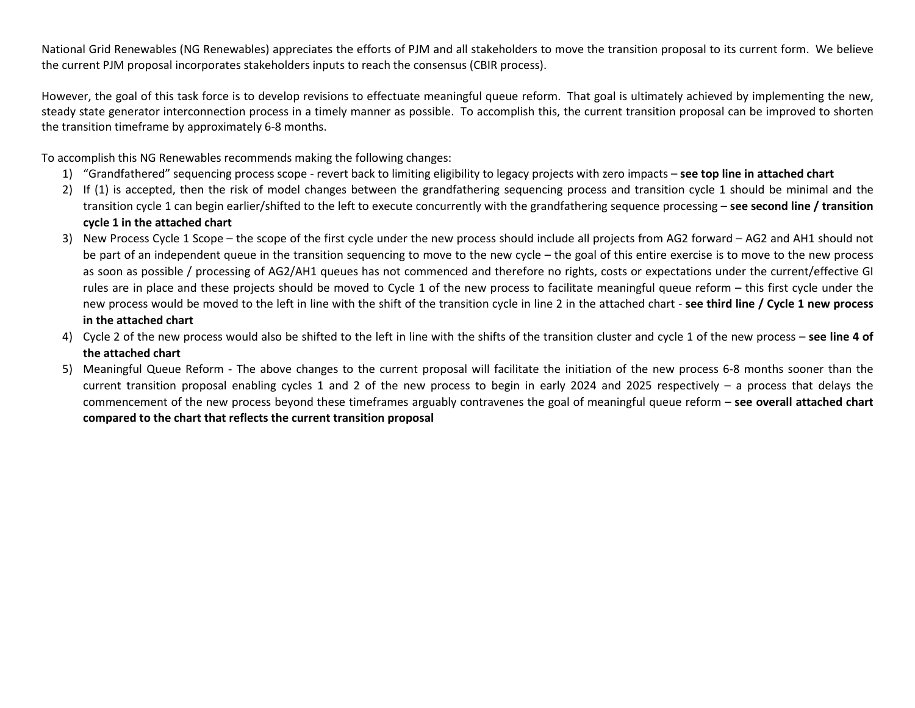National Grid Renewables (NG Renewables) appreciates the efforts of PJM and all stakeholders to move the transition proposal to its current form. We believe the current PJM proposal incorporates stakeholders inputs to reach the consensus (CBIR process).

However, the goal of this task force is to develop revisions to effectuate meaningful queue reform. That goal is ultimately achieved by implementing the new, steady state generator interconnection process in a timely manner as possible. To accomplish this, the current transition proposal can be improved to shorten the transition timeframe by approximately 6-8 months.

To accomplish this NG Renewables recommends making the following changes:

- 1) "Grandfathered" sequencing process scope revert back to limiting eligibility to legacy projects with zero impacts **see top line in attached chart**
- 2) If (1) is accepted, then the risk of model changes between the grandfathering sequencing process and transition cycle 1 should be minimal and the transition cycle 1 can begin earlier/shifted to the left to execute concurrently with the grandfathering sequence processing – **see second line / transition cycle 1 in the attached chart**
- 3) New Process Cycle 1 Scope the scope of the first cycle under the new process should include all projects from AG2 forward AG2 and AH1 should not be part of an independent queue in the transition sequencing to move to the new cycle – the goal of this entire exercise is to move to the new process as soon as possible / processing of AG2/AH1 queues has not commenced and therefore no rights, costs or expectations under the current/effective GI rules are in place and these projects should be moved to Cycle 1 of the new process to facilitate meaningful queue reform – this first cycle under the new process would be moved to the left in line with the shift of the transition cycle in line 2 in the attached chart - **see third line / Cycle 1 new process in the attached chart**
- 4) Cycle 2 of the new process would also be shifted to the left in line with the shifts of the transition cluster and cycle 1 of the new process **see line 4 of the attached chart**
- 5) Meaningful Queue Reform The above changes to the current proposal will facilitate the initiation of the new process 6-8 months sooner than the current transition proposal enabling cycles 1 and 2 of the new process to begin in early 2024 and 2025 respectively – a process that delays the commencement of the new process beyond these timeframes arguably contravenes the goal of meaningful queue reform – **see overall attached chart compared to the chart that reflects the current transition proposal**